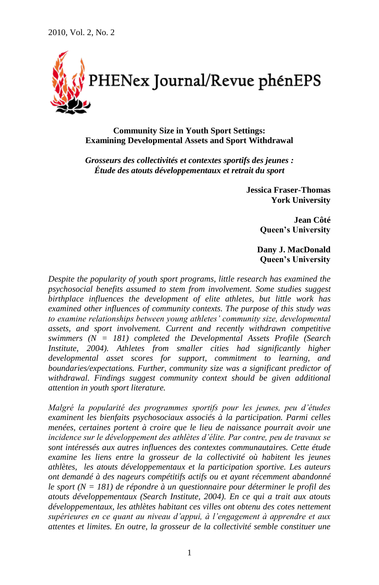

**Community Size in Youth Sport Settings: Examining Developmental Assets and Sport Withdrawal**

*Grosseurs des collectivités et contextes sportifs des jeunes : Étude des atouts développementaux et retrait du sport*

> **Jessica Fraser-Thomas York University**

> > **Jean Côté Queen's University**

**Dany J. MacDonald Queen's University**

*Despite the popularity of youth sport programs, little research has examined the psychosocial benefits assumed to stem from involvement. Some studies suggest birthplace influences the development of elite athletes, but little work has examined other influences of community contexts. The purpose of this study was to examine relationships between young athletes' community size, developmental assets, and sport involvement. Current and recently withdrawn competitive swimmers (N = 181) completed the Developmental Assets Profile (Search Institute, 2004). Athletes from smaller cities had significantly higher developmental asset scores for support, commitment to learning, and boundaries/expectations. Further, community size was a significant predictor of withdrawal. Findings suggest community context should be given additional attention in youth sport literature.*

*Malgré la popularité des programmes sportifs pour les jeunes, peu d'études examinent les bienfaits psychosociaux associés à la participation. Parmi celles menées, certaines portent à croire que le lieu de naissance pourrait avoir une incidence sur le développement des athlètes d'élite. Par contre, peu de travaux se sont intéressés aux autres influences des contextes communautaires. Cette étude examine les liens entre la grosseur de la collectivité où habitent les jeunes athlètes, les atouts développementaux et la participation sportive. Les auteurs ont demandé à des nageurs compétitifs actifs ou et ayant récemment abandonné le sport (N = 181) de répondre à un questionnaire pour déterminer le profil des atouts développementaux (Search Institute, 2004). En ce qui a trait aux atouts développementaux, les athlètes habitant ces villes ont obtenu des cotes nettement supérieures en ce quant au niveau d'appui, à l'engagement à apprendre et aux attentes et limites. En outre, la grosseur de la collectivité semble constituer une*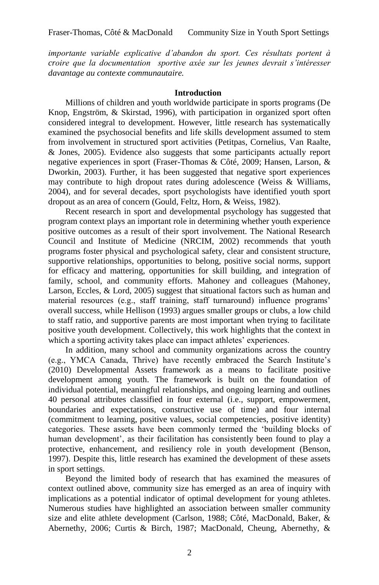*importante variable explicative d'abandon du sport. Ces résultats portent à croire que la documentation sportive axée sur les jeunes devrait s'intéresser davantage au contexte communautaire.*

### **Introduction**

Millions of children and youth worldwide participate in sports programs (De Knop, Engström, & Skirstad, 1996), with participation in organized sport often considered integral to development. However, little research has systematically examined the psychosocial benefits and life skills development assumed to stem from involvement in structured sport activities (Petitpas, Cornelius, Van Raalte, & Jones, 2005). Evidence also suggests that some participants actually report negative experiences in sport (Fraser-Thomas & Côté, 2009; Hansen, Larson, & Dworkin, 2003). Further, it has been suggested that negative sport experiences may contribute to high dropout rates during adolescence (Weiss & Williams, 2004), and for several decades, sport psychologists have identified youth sport dropout as an area of concern (Gould, Feltz, Horn, & Weiss, 1982).

Recent research in sport and developmental psychology has suggested that program context plays an important role in determining whether youth experience positive outcomes as a result of their sport involvement. The National Research Council and Institute of Medicine (NRCIM, 2002) recommends that youth programs foster physical and psychological safety, clear and consistent structure, supportive relationships, opportunities to belong, positive social norms, support for efficacy and mattering, opportunities for skill building, and integration of family, school, and community efforts. Mahoney and colleagues (Mahoney, Larson, Eccles, & Lord, 2005) suggest that situational factors such as human and material resources (e.g., staff training, staff turnaround) influence programs' overall success, while Hellison (1993) argues smaller groups or clubs, a low child to staff ratio, and supportive parents are most important when trying to facilitate positive youth development. Collectively, this work highlights that the context in which a sporting activity takes place can impact athletes' experiences.

In addition, many school and community organizations across the country (e.g., YMCA Canada, Thrive) have recently embraced the Search Institute"s (2010) Developmental Assets framework as a means to facilitate positive development among youth. The framework is built on the foundation of individual potential, meaningful relationships, and ongoing learning and outlines 40 personal attributes classified in four external (i.e., support, empowerment, boundaries and expectations, constructive use of time) and four internal (commitment to learning, positive values, social competencies, positive identity) categories. These assets have been commonly termed the "building blocks of human development', as their facilitation has consistently been found to play a protective, enhancement, and resiliency role in youth development (Benson, 1997). Despite this, little research has examined the development of these assets in sport settings.

Beyond the limited body of research that has examined the measures of context outlined above, community size has emerged as an area of inquiry with implications as a potential indicator of optimal development for young athletes. Numerous studies have highlighted an association between smaller community size and elite athlete development (Carlson, 1988; Côté, MacDonald, Baker, & Abernethy, 2006; Curtis & Birch, 1987; MacDonald, Cheung, Abernethy, &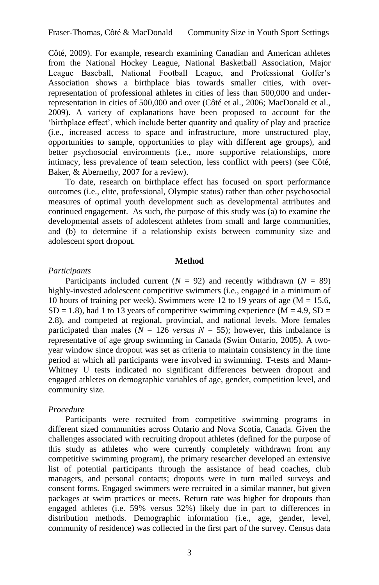Côté, 2009). For example, research examining Canadian and American athletes from the National Hockey League, National Basketball Association, Major League Baseball, National Football League, and Professional Golfer's Association shows a birthplace bias towards smaller cities, with overrepresentation of professional athletes in cities of less than 500,000 and underrepresentation in cities of 500,000 and over (Côté et al., 2006; MacDonald et al., 2009). A variety of explanations have been proposed to account for the "birthplace effect", which include better quantity and quality of play and practice (i.e., increased access to space and infrastructure, more unstructured play, opportunities to sample, opportunities to play with different age groups), and better psychosocial environments (i.e., more supportive relationships, more intimacy, less prevalence of team selection, less conflict with peers) (see Côté, Baker, & Abernethy, 2007 for a review).

To date, research on birthplace effect has focused on sport performance outcomes (i.e., elite, professional, Olympic status) rather than other psychosocial measures of optimal youth development such as developmental attributes and continued engagement. As such, the purpose of this study was (a) to examine the developmental assets of adolescent athletes from small and large communities, and (b) to determine if a relationship exists between community size and adolescent sport dropout.

#### **Method**

# *Participants*

Participants included current  $(N = 92)$  and recently withdrawn  $(N = 89)$ highly-invested adolescent competitive swimmers (i.e., engaged in a minimum of 10 hours of training per week). Swimmers were 12 to 19 years of age (M = 15.6,  $SD = 1.8$ ), had 1 to 13 years of competitive swimming experience (M = 4.9, SD = 2.8), and competed at regional, provincial, and national levels. More females participated than males ( $N = 126$  *versus*  $N = 55$ ); however, this imbalance is representative of age group swimming in Canada (Swim Ontario, 2005). A twoyear window since dropout was set as criteria to maintain consistency in the time period at which all participants were involved in swimming. T-tests and Mann-Whitney U tests indicated no significant differences between dropout and engaged athletes on demographic variables of age, gender, competition level, and community size.

# *Procedure*

Participants were recruited from competitive swimming programs in different sized communities across Ontario and Nova Scotia, Canada. Given the challenges associated with recruiting dropout athletes (defined for the purpose of this study as athletes who were currently completely withdrawn from any competitive swimming program), the primary researcher developed an extensive list of potential participants through the assistance of head coaches, club managers, and personal contacts; dropouts were in turn mailed surveys and consent forms. Engaged swimmers were recruited in a similar manner, but given packages at swim practices or meets. Return rate was higher for dropouts than engaged athletes (i.e. 59% versus 32%) likely due in part to differences in distribution methods. Demographic information (i.e., age, gender, level, community of residence) was collected in the first part of the survey. Census data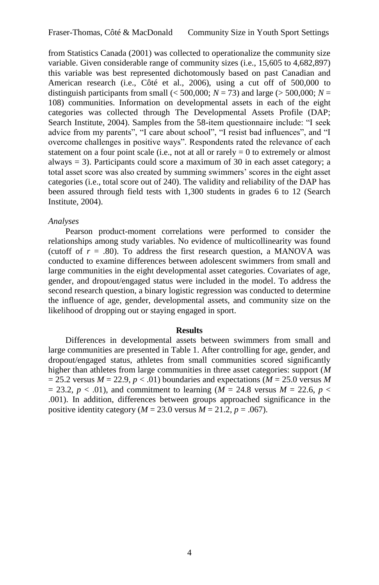from Statistics Canada (2001) was collected to operationalize the community size variable. Given considerable range of community sizes (i.e., 15,605 to 4,682,897) this variable was best represented dichotomously based on past Canadian and American research (i.e., Côté et al., 2006), using a cut off of 500,000 to distinguish participants from small ( $\leq 500,000$ ; *N* = 73) and large ( $> 500,000$ ; *N* = 108) communities. Information on developmental assets in each of the eight categories was collected through The Developmental Assets Profile (DAP; Search Institute, 2004). Samples from the 58-item questionnaire include: "I seek advice from my parents", "I care about school", "I resist bad influences", and "I overcome challenges in positive ways". Respondents rated the relevance of each statement on a four point scale (i.e., not at all or rarely  $= 0$  to extremely or almost always = 3). Participants could score a maximum of 30 in each asset category; a total asset score was also created by summing swimmers' scores in the eight asset categories (i.e., total score out of 240). The validity and reliability of the DAP has been assured through field tests with 1,300 students in grades 6 to 12 (Search Institute, 2004).

### *Analyses*

Pearson product-moment correlations were performed to consider the relationships among study variables. No evidence of multicollinearity was found (cutoff of  $r = .80$ ). To address the first research question, a MANOVA was conducted to examine differences between adolescent swimmers from small and large communities in the eight developmental asset categories. Covariates of age, gender, and dropout/engaged status were included in the model. To address the second research question, a binary logistic regression was conducted to determine the influence of age, gender, developmental assets, and community size on the likelihood of dropping out or staying engaged in sport.

#### **Results**

Differences in developmental assets between swimmers from small and large communities are presented in Table 1. After controlling for age, gender, and dropout/engaged status, athletes from small communities scored significantly higher than athletes from large communities in three asset categories: support (*M*  $= 25.2$  versus  $M = 22.9$ ,  $p < .01$ ) boundaries and expectations ( $M = 25.0$  versus M  $= 23.2, p < .01$ ), and commitment to learning (*M* = 24.8 versus *M* = 22.6, *p* < .001). In addition, differences between groups approached significance in the positive identity category ( $M = 23.0$  versus  $M = 21.2$ ,  $p = .067$ ).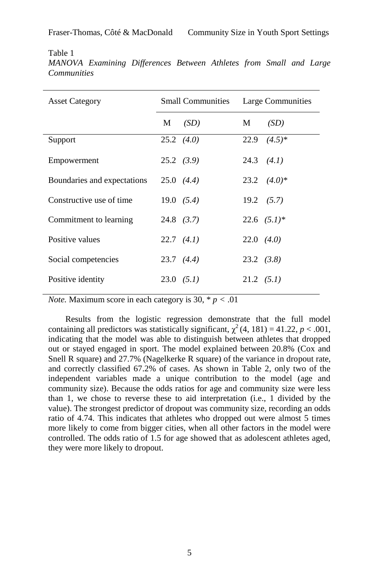Table 1

*MANOVA Examining Differences Between Athletes from Small and Large Communities*

| <b>Asset Category</b>       | <b>Small Communities</b> |                    | Large Communities  |                      |
|-----------------------------|--------------------------|--------------------|--------------------|----------------------|
|                             | M                        | (SD)               | М                  | (SD)                 |
| Support                     |                          | $25.2$ $(4.0)$     | 22.9               | $(4.5)*$             |
| Empowerment                 |                          | $25.2 \quad (3.9)$ |                    | $24.3$ $(4.1)$       |
| Boundaries and expectations |                          | $25.0 \quad (4.4)$ |                    | $23.2 \quad (4.0)^*$ |
| Constructive use of time    |                          | 19.0 (5.4)         |                    | $19.2 \quad (5.7)$   |
| Commitment to learning      |                          | $24.8$ (3.7)       |                    | $22.6$ $(5.1)*$      |
| Positive values             |                          | $22.7$ $(4.1)$     | $22.0$ $(4.0)$     |                      |
| Social competencies         |                          | $23.7 \quad (4.4)$ | $23.2 \quad (3.8)$ |                      |
| Positive identity           |                          | $23.0 \quad (5.1)$ | $21.2 \quad (5.1)$ |                      |

*Note.* Maximum score in each category is  $30, * p < .01$ 

Results from the logistic regression demonstrate that the full model containing all predictors was statistically significant,  $\chi^2$  (4, 181) = 41.22, *p* < .001, indicating that the model was able to distinguish between athletes that dropped out or stayed engaged in sport. The model explained between 20.8% (Cox and Snell R square) and 27.7% (Nagelkerke R square) of the variance in dropout rate, and correctly classified 67.2% of cases. As shown in Table 2, only two of the independent variables made a unique contribution to the model (age and community size). Because the odds ratios for age and community size were less than 1, we chose to reverse these to aid interpretation (i.e., 1 divided by the value). The strongest predictor of dropout was community size, recording an odds ratio of 4.74. This indicates that athletes who dropped out were almost 5 times more likely to come from bigger cities, when all other factors in the model were controlled. The odds ratio of 1.5 for age showed that as adolescent athletes aged, they were more likely to dropout.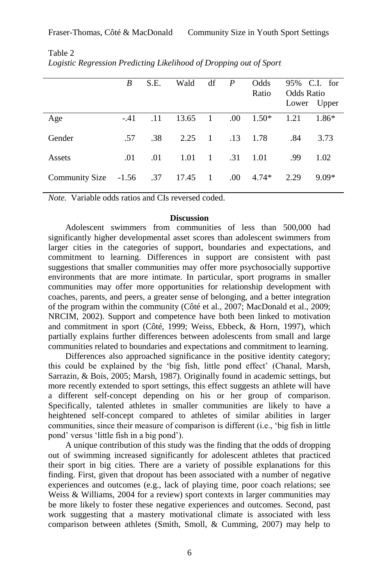|                | B           | S.E. | Wald    | df             | $\boldsymbol{P}$ | Odds<br>Ratio | <b>Odds Ratio</b> | 95% C.I. for<br>Lower Upper |
|----------------|-------------|------|---------|----------------|------------------|---------------|-------------------|-----------------------------|
| Age            | $-.41$      | .11  | 13.65   | $\blacksquare$ | .00              | $1.50*$       | 1.21              | 1.86*                       |
| Gender         | .57         | .38  | 2.25    | $\mathbf{1}$   | .13              | 1.78          | .84               | 3.73                        |
| Assets         | .01         | .01  | 1.01    | $\overline{1}$ | .31              | 1.01          | .99               | 1.02                        |
| Community Size | $-1.56$ .37 |      | 17.45 1 |                | .00              | $4.74*$       | 2.29              | $9.09*$                     |

Table 2 *Logistic Regression Predicting Likelihood of Dropping out of Sport*

*Note.* Variable odds ratios and CIs reversed coded.

#### **Discussion**

Adolescent swimmers from communities of less than 500,000 had significantly higher developmental asset scores than adolescent swimmers from larger cities in the categories of support, boundaries and expectations, and commitment to learning. Differences in support are consistent with past suggestions that smaller communities may offer more psychosocially supportive environments that are more intimate. In particular, sport programs in smaller communities may offer more opportunities for relationship development with coaches, parents, and peers, a greater sense of belonging, and a better integration of the program within the community (Côté et al., 2007; MacDonald et al., 2009; NRCIM, 2002). Support and competence have both been linked to motivation and commitment in sport (Côté, 1999; Weiss, Ebbeck, & Horn, 1997), which partially explains further differences between adolescents from small and large communities related to boundaries and expectations and commitment to learning.

Differences also approached significance in the positive identity category; this could be explained by the "big fish, little pond effect" (Chanal, Marsh, Sarrazin, & Bois, 2005; Marsh, 1987). Originally found in academic settings, but more recently extended to sport settings, this effect suggests an athlete will have a different self-concept depending on his or her group of comparison. Specifically, talented athletes in smaller communities are likely to have a heightened self-concept compared to athletes of similar abilities in larger communities, since their measure of comparison is different (i.e., "big fish in little pond" versus "little fish in a big pond").

A unique contribution of this study was the finding that the odds of dropping out of swimming increased significantly for adolescent athletes that practiced their sport in big cities. There are a variety of possible explanations for this finding. First, given that dropout has been associated with a number of negative experiences and outcomes (e.g., lack of playing time, poor coach relations; see Weiss & Williams, 2004 for a review) sport contexts in larger communities may be more likely to foster these negative experiences and outcomes. Second, past work suggesting that a mastery motivational climate is associated with less comparison between athletes (Smith, Smoll, & Cumming, 2007) may help to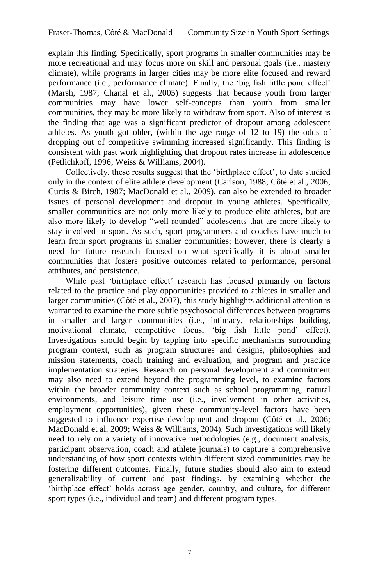explain this finding. Specifically, sport programs in smaller communities may be more recreational and may focus more on skill and personal goals (i.e., mastery climate), while programs in larger cities may be more elite focused and reward performance (i.e., performance climate). Finally, the "big fish little pond effect" (Marsh, 1987; Chanal et al., 2005) suggests that because youth from larger communities may have lower self-concepts than youth from smaller communities, they may be more likely to withdraw from sport. Also of interest is the finding that age was a significant predictor of dropout among adolescent athletes. As youth got older, (within the age range of 12 to 19) the odds of dropping out of competitive swimming increased significantly. This finding is consistent with past work highlighting that dropout rates increase in adolescence (Petlichkoff, 1996; Weiss & Williams, 2004).

Collectively, these results suggest that the "birthplace effect", to date studied only in the context of elite athlete development (Carlson, 1988; Côté et al., 2006; Curtis & Birch, 1987; MacDonald et al., 2009), can also be extended to broader issues of personal development and dropout in young athletes. Specifically, smaller communities are not only more likely to produce elite athletes, but are also more likely to develop "well-rounded" adolescents that are more likely to stay involved in sport. As such, sport programmers and coaches have much to learn from sport programs in smaller communities; however, there is clearly a need for future research focused on what specifically it is about smaller communities that fosters positive outcomes related to performance, personal attributes, and persistence.

While past "birthplace effect" research has focused primarily on factors related to the practice and play opportunities provided to athletes in smaller and larger communities (Côté et al., 2007), this study highlights additional attention is warranted to examine the more subtle psychosocial differences between programs in smaller and larger communities (i.e., intimacy, relationships building, motivational climate, competitive focus, "big fish little pond" effect). Investigations should begin by tapping into specific mechanisms surrounding program context, such as program structures and designs, philosophies and mission statements, coach training and evaluation, and program and practice implementation strategies. Research on personal development and commitment may also need to extend beyond the programming level, to examine factors within the broader community context such as school programming, natural environments, and leisure time use (i.e., involvement in other activities, employment opportunities), given these community-level factors have been suggested to influence expertise development and dropout (Côté et al., 2006; MacDonald et al, 2009; Weiss & Williams, 2004). Such investigations will likely need to rely on a variety of innovative methodologies (e.g., document analysis, participant observation, coach and athlete journals) to capture a comprehensive understanding of how sport contexts within different sized communities may be fostering different outcomes. Finally, future studies should also aim to extend generalizability of current and past findings, by examining whether the "birthplace effect" holds across age gender, country, and culture, for different sport types (i.e., individual and team) and different program types.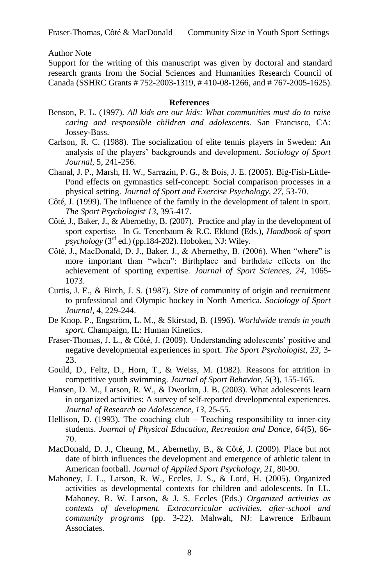Author Note

Support for the writing of this manuscript was given by doctoral and standard research grants from the Social Sciences and Humanities Research Council of Canada (SSHRC Grants # 752-2003-1319, # 410-08-1266, and # 767-2005-1625).

# **References**

- Benson, P. L. (1997). *All kids are our kids: What communities must do to raise caring and responsible children and adolescents.* San Francisco, CA: Jossey-Bass.
- Carlson, R. C. (1988). The socialization of elite tennis players in Sweden: An analysis of the players" backgrounds and development. *Sociology of Sport Journal,* 5, 241-256.
- Chanal, J. P., Marsh, H. W., Sarrazin, P. G., & Bois, J. E. (2005). Big-Fish-Little-Pond effects on gymnastics self-concept: Social comparison processes in a physical setting. *Journal of Sport and Exercise Psychology, 27,* 53-70.
- Côté, J. (1999). The influence of the family in the development of talent in sport. *The Sport Psychologist 13*, 395-417.
- Côté, J., Baker, J., & Abernethy, B. (2007). Practice and play in the development of sport expertise. In G. Tenenbaum & R.C. Eklund (Eds.), *Handbook of sport*   $p$ *sychology* ( $3<sup>rd</sup>$  ed.) (pp.184-202). Hoboken, NJ: Wiley.
- Côté, J., MacDonald, D. J., Baker, J., & Abernethy, B. (2006). When "where" is more important than "when": Birthplace and birthdate effects on the achievement of sporting expertise. *Journal of Sport Sciences, 24,* 1065- 1073.
- Curtis, J. E., & Birch, J. S. (1987). Size of community of origin and recruitment to professional and Olympic hockey in North America. *Sociology of Sport Journal,* 4, 229-244.
- De Knop, P., Engström, L. M., & Skirstad, B. (1996). *Worldwide trends in youth sport.* Champaign, IL: Human Kinetics.
- Fraser-Thomas, J. L., & Côté, J. (2009). Understanding adolescents' positive and negative developmental experiences in sport. *The Sport Psychologist, 23,* 3- 23.
- Gould, D., Feltz, D., Horn, T., & Weiss, M. (1982). Reasons for attrition in competitive youth swimming. *Journal of Sport Behavior, 5*(3), 155-165.
- Hansen, D. M., Larson, R. W., & Dworkin, J. B. (2003). What adolescents learn in organized activities: A survey of self-reported developmental experiences. *Journal of Research on Adolescence, 13,* 25-55.
- Hellison, D. (1993). The coaching club Teaching responsibility to inner-city students. *Journal of Physical Education, Recreation and Dance, 64*(5), 66- 70.
- MacDonald, D. J., Cheung, M., Abernethy, B., & Côté, J. (2009). Place but not date of birth influences the development and emergence of athletic talent in American football. *Journal of Applied Sport Psychology, 21,* 80-90.
- Mahoney, J. L., Larson, R. W., Eccles, J. S., & Lord, H. (2005). Organized activities as developmental contexts for children and adolescents. In J.L. Mahoney, R. W. Larson, & J. S. Eccles (Eds.) *Organized activities as contexts of development. Extracurricular activities, after-school and community programs* (pp. 3-22). Mahwah, NJ: Lawrence Erlbaum Associates.